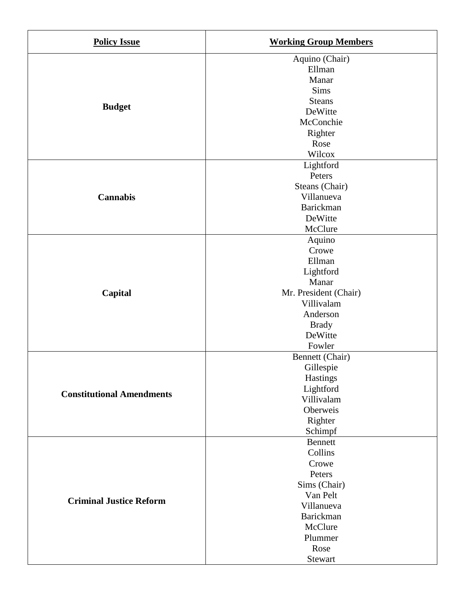| <b>Policy Issue</b>              | <b>Working Group Members</b>                                                                                                            |
|----------------------------------|-----------------------------------------------------------------------------------------------------------------------------------------|
| <b>Budget</b>                    | Aquino (Chair)<br>Ellman<br>Manar<br>Sims<br><b>Steans</b><br>DeWitte<br>McConchie<br>Righter<br>Rose<br>Wilcox                         |
| <b>Cannabis</b>                  | Lightford<br>Peters<br>Steans (Chair)<br>Villanueva<br>Barickman<br>DeWitte<br>McClure                                                  |
| Capital                          | Aquino<br>Crowe<br>Ellman<br>Lightford<br>Manar<br>Mr. President (Chair)<br>Villivalam<br>Anderson<br><b>Brady</b><br>DeWitte<br>Fowler |
| <b>Constitutional Amendments</b> | Bennett (Chair)<br>Gillespie<br><b>Hastings</b><br>Lightford<br>Villivalam<br>Oberweis<br>Righter<br>Schimpf                            |
| <b>Criminal Justice Reform</b>   | Bennett<br>Collins<br>Crowe<br>Peters<br>Sims (Chair)<br>Van Pelt<br>Villanueva<br>Barickman<br>McClure<br>Plummer<br>Rose<br>Stewart   |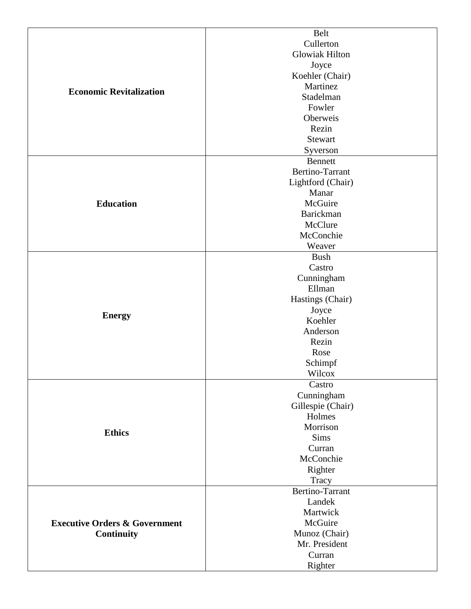| Cullerton<br><b>Glowiak Hilton</b><br>Joyce<br>Koehler (Chair)<br>Martinez<br><b>Economic Revitalization</b><br>Stadelman<br>Fowler<br>Oberweis<br>Rezin<br>Stewart<br>Syverson<br><b>Bennett</b><br>Bertino-Tarrant<br>Lightford (Chair)<br>Manar<br><b>Education</b><br>McGuire<br>Barickman<br>McClure<br>McConchie<br>Weaver<br><b>Bush</b><br>Castro<br>Cunningham<br>Ellman<br>Hastings (Chair)<br>Joyce |                                                        | <b>Belt</b> |
|----------------------------------------------------------------------------------------------------------------------------------------------------------------------------------------------------------------------------------------------------------------------------------------------------------------------------------------------------------------------------------------------------------------|--------------------------------------------------------|-------------|
|                                                                                                                                                                                                                                                                                                                                                                                                                |                                                        |             |
|                                                                                                                                                                                                                                                                                                                                                                                                                |                                                        |             |
|                                                                                                                                                                                                                                                                                                                                                                                                                |                                                        |             |
|                                                                                                                                                                                                                                                                                                                                                                                                                |                                                        |             |
|                                                                                                                                                                                                                                                                                                                                                                                                                |                                                        |             |
|                                                                                                                                                                                                                                                                                                                                                                                                                |                                                        |             |
|                                                                                                                                                                                                                                                                                                                                                                                                                |                                                        |             |
|                                                                                                                                                                                                                                                                                                                                                                                                                |                                                        |             |
|                                                                                                                                                                                                                                                                                                                                                                                                                |                                                        |             |
|                                                                                                                                                                                                                                                                                                                                                                                                                |                                                        |             |
|                                                                                                                                                                                                                                                                                                                                                                                                                |                                                        |             |
|                                                                                                                                                                                                                                                                                                                                                                                                                |                                                        |             |
|                                                                                                                                                                                                                                                                                                                                                                                                                |                                                        |             |
|                                                                                                                                                                                                                                                                                                                                                                                                                |                                                        |             |
|                                                                                                                                                                                                                                                                                                                                                                                                                |                                                        |             |
|                                                                                                                                                                                                                                                                                                                                                                                                                |                                                        |             |
|                                                                                                                                                                                                                                                                                                                                                                                                                |                                                        |             |
|                                                                                                                                                                                                                                                                                                                                                                                                                |                                                        |             |
|                                                                                                                                                                                                                                                                                                                                                                                                                |                                                        |             |
|                                                                                                                                                                                                                                                                                                                                                                                                                |                                                        |             |
|                                                                                                                                                                                                                                                                                                                                                                                                                |                                                        |             |
|                                                                                                                                                                                                                                                                                                                                                                                                                |                                                        |             |
|                                                                                                                                                                                                                                                                                                                                                                                                                |                                                        |             |
|                                                                                                                                                                                                                                                                                                                                                                                                                |                                                        |             |
|                                                                                                                                                                                                                                                                                                                                                                                                                |                                                        |             |
|                                                                                                                                                                                                                                                                                                                                                                                                                |                                                        |             |
|                                                                                                                                                                                                                                                                                                                                                                                                                | <b>Energy</b>                                          |             |
|                                                                                                                                                                                                                                                                                                                                                                                                                |                                                        |             |
|                                                                                                                                                                                                                                                                                                                                                                                                                |                                                        | Koehler     |
|                                                                                                                                                                                                                                                                                                                                                                                                                |                                                        |             |
| Anderson                                                                                                                                                                                                                                                                                                                                                                                                       |                                                        |             |
| Rezin                                                                                                                                                                                                                                                                                                                                                                                                          |                                                        |             |
| Rose                                                                                                                                                                                                                                                                                                                                                                                                           |                                                        |             |
| Schimpf                                                                                                                                                                                                                                                                                                                                                                                                        |                                                        |             |
| Wilcox                                                                                                                                                                                                                                                                                                                                                                                                         |                                                        |             |
| Castro                                                                                                                                                                                                                                                                                                                                                                                                         |                                                        |             |
| Cunningham                                                                                                                                                                                                                                                                                                                                                                                                     |                                                        |             |
| Gillespie (Chair)                                                                                                                                                                                                                                                                                                                                                                                              |                                                        |             |
| Holmes                                                                                                                                                                                                                                                                                                                                                                                                         |                                                        |             |
| Morrison                                                                                                                                                                                                                                                                                                                                                                                                       |                                                        |             |
| <b>Ethics</b><br>Sims                                                                                                                                                                                                                                                                                                                                                                                          |                                                        |             |
| Curran                                                                                                                                                                                                                                                                                                                                                                                                         |                                                        |             |
| McConchie                                                                                                                                                                                                                                                                                                                                                                                                      |                                                        |             |
|                                                                                                                                                                                                                                                                                                                                                                                                                |                                                        |             |
| Righter                                                                                                                                                                                                                                                                                                                                                                                                        |                                                        |             |
| Tracy                                                                                                                                                                                                                                                                                                                                                                                                          |                                                        |             |
| Bertino-Tarrant                                                                                                                                                                                                                                                                                                                                                                                                |                                                        |             |
| Landek                                                                                                                                                                                                                                                                                                                                                                                                         |                                                        |             |
| Martwick                                                                                                                                                                                                                                                                                                                                                                                                       | <b>Executive Orders &amp; Government</b><br>Continuity |             |
| McGuire                                                                                                                                                                                                                                                                                                                                                                                                        |                                                        |             |
| Munoz (Chair)                                                                                                                                                                                                                                                                                                                                                                                                  |                                                        |             |
| Mr. President                                                                                                                                                                                                                                                                                                                                                                                                  |                                                        |             |
| Curran                                                                                                                                                                                                                                                                                                                                                                                                         |                                                        |             |
| Righter                                                                                                                                                                                                                                                                                                                                                                                                        |                                                        |             |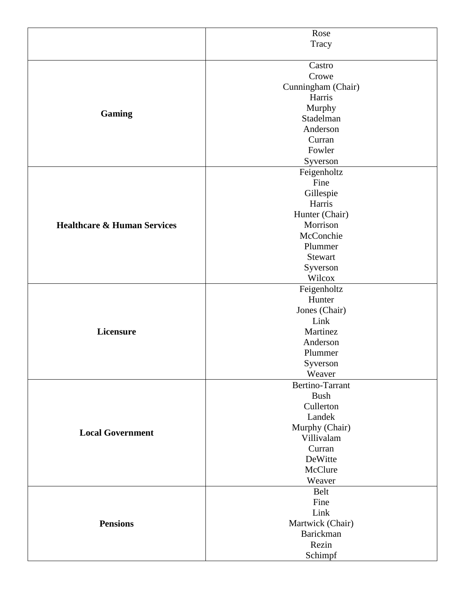|                                        | Rose                          |
|----------------------------------------|-------------------------------|
|                                        | Tracy                         |
|                                        |                               |
| <b>Gaming</b>                          | Castro                        |
|                                        | Crowe                         |
|                                        | Cunningham (Chair)            |
|                                        | Harris                        |
|                                        | Murphy                        |
|                                        | Stadelman                     |
|                                        | Anderson                      |
|                                        | Curran                        |
|                                        | Fowler                        |
|                                        | Syverson                      |
|                                        | Feigenholtz                   |
|                                        | Fine                          |
|                                        | Gillespie                     |
|                                        | Harris                        |
|                                        | Hunter (Chair)                |
| <b>Healthcare &amp; Human Services</b> | Morrison                      |
|                                        | McConchie                     |
|                                        | Plummer                       |
|                                        | Stewart                       |
|                                        | Syverson                      |
|                                        | Wilcox                        |
|                                        | Feigenholtz                   |
| Licensure                              | Hunter                        |
|                                        | Jones (Chair)                 |
|                                        | Link                          |
|                                        | Martinez                      |
|                                        | Anderson                      |
|                                        | Plummer                       |
|                                        | Syverson                      |
|                                        | Weaver                        |
|                                        | Bertino-Tarrant               |
|                                        | <b>Bush</b>                   |
|                                        | Cullerton                     |
|                                        | Landek                        |
|                                        | Murphy (Chair)                |
| <b>Local Government</b>                | Villivalam                    |
|                                        | Curran                        |
|                                        | DeWitte                       |
|                                        | McClure                       |
|                                        |                               |
|                                        | Weaver<br>Belt                |
| <b>Pensions</b>                        | Fine                          |
|                                        |                               |
|                                        | Link                          |
|                                        | Martwick (Chair)<br>Barickman |
|                                        | Rezin                         |
|                                        |                               |
|                                        | Schimpf                       |